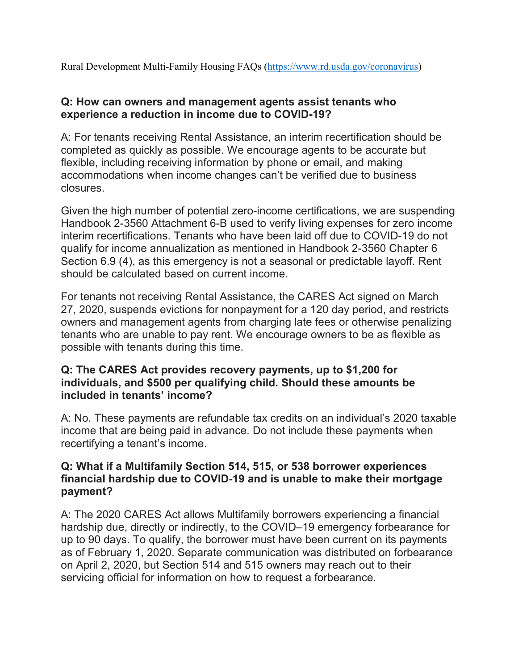Rural Development Multi-Family Housing FAQs [\(https://www.rd.usda.gov/coronavirus\)](https://www.rd.usda.gov/coronavirus)

### **Q: How can owners and management agents assist tenants who experience a reduction in income due to COVID-19?**

A: For tenants receiving Rental Assistance, an interim recertification should be completed as quickly as possible. We encourage agents to be accurate but flexible, including receiving information by phone or email, and making accommodations when income changes can't be verified due to business closures.

Given the high number of potential zero-income certifications, we are suspending Handbook 2-3560 Attachment 6-B used to verify living expenses for zero income interim recertifications. Tenants who have been laid off due to COVID-19 do not qualify for income annualization as mentioned in Handbook 2-3560 Chapter 6 Section 6.9 (4), as this emergency is not a seasonal or predictable layoff. Rent should be calculated based on current income.

For tenants not receiving Rental Assistance, the CARES Act signed on March 27, 2020, suspends evictions for nonpayment for a 120 day period, and restricts owners and management agents from charging late fees or otherwise penalizing tenants who are unable to pay rent. We encourage owners to be as flexible as possible with tenants during this time.

### **Q: The CARES Act provides recovery payments, up to \$1,200 for individuals, and \$500 per qualifying child. Should these amounts be included in tenants' income?**

A: No. These payments are refundable tax credits on an individual's 2020 taxable income that are being paid in advance. Do not include these payments when recertifying a tenant's income.

### **Q: What if a Multifamily Section 514, 515, or 538 borrower experiences financial hardship due to COVID-19 and is unable to make their mortgage payment?**

A: The 2020 CARES Act allows Multifamily borrowers experiencing a financial hardship due, directly or indirectly, to the COVID–19 emergency forbearance for up to 90 days. To qualify, the borrower must have been current on its payments as of February 1, 2020. Separate communication was distributed on forbearance on April 2, 2020, but Section 514 and 515 owners may reach out to their servicing official for information on how to request a forbearance.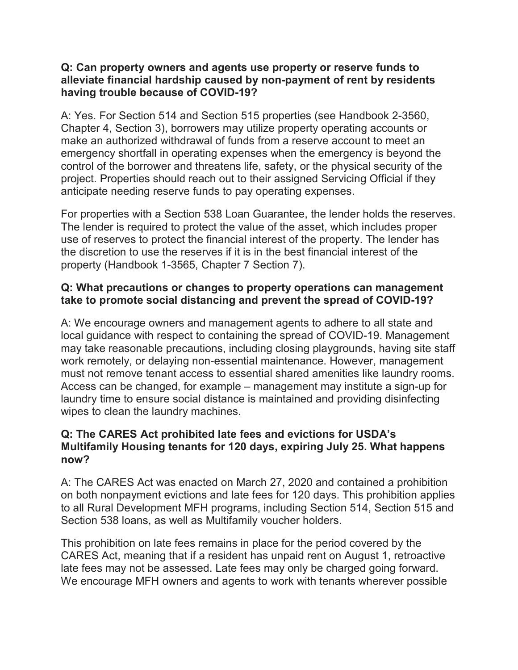### **Q: Can property owners and agents use property or reserve funds to alleviate financial hardship caused by non-payment of rent by residents having trouble because of COVID-19?**

A: Yes. For Section 514 and Section 515 properties (see Handbook 2-3560, Chapter 4, Section 3), borrowers may utilize property operating accounts or make an authorized withdrawal of funds from a reserve account to meet an emergency shortfall in operating expenses when the emergency is beyond the control of the borrower and threatens life, safety, or the physical security of the project. Properties should reach out to their assigned Servicing Official if they anticipate needing reserve funds to pay operating expenses.

For properties with a Section 538 Loan Guarantee, the lender holds the reserves. The lender is required to protect the value of the asset, which includes proper use of reserves to protect the financial interest of the property. The lender has the discretion to use the reserves if it is in the best financial interest of the property (Handbook 1-3565, Chapter 7 Section 7).

# **Q: What precautions or changes to property operations can management take to promote social distancing and prevent the spread of COVID-19?**

A: We encourage owners and management agents to adhere to all state and local guidance with respect to containing the spread of COVID-19. Management may take reasonable precautions, including closing playgrounds, having site staff work remotely, or delaying non-essential maintenance. However, management must not remove tenant access to essential shared amenities like laundry rooms. Access can be changed, for example – management may institute a sign-up for laundry time to ensure social distance is maintained and providing disinfecting wipes to clean the laundry machines.

# **Q: The CARES Act prohibited late fees and evictions for USDA's Multifamily Housing tenants for 120 days, expiring July 25. What happens now?**

A: The CARES Act was enacted on March 27, 2020 and contained a prohibition on both nonpayment evictions and late fees for 120 days. This prohibition applies to all Rural Development MFH programs, including Section 514, Section 515 and Section 538 loans, as well as Multifamily voucher holders.

This prohibition on late fees remains in place for the period covered by the CARES Act, meaning that if a resident has unpaid rent on August 1, retroactive late fees may not be assessed. Late fees may only be charged going forward. We encourage MFH owners and agents to work with tenants wherever possible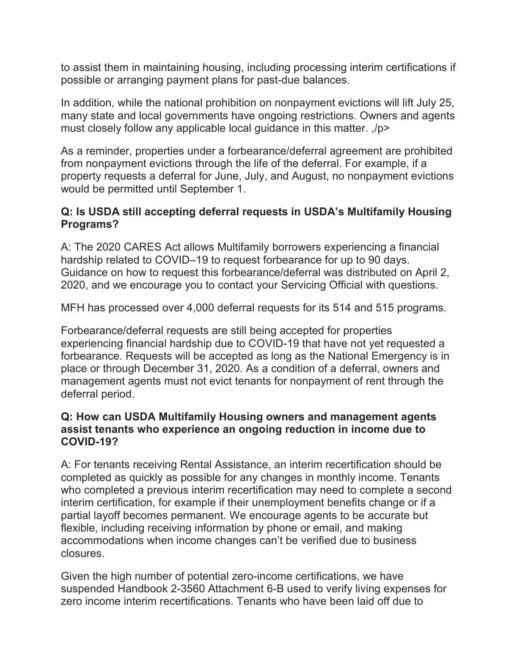to assist them in maintaining housing, including processing interim certifications if possible or arranging payment plans for past-due balances.

In addition, while the national prohibition on nonpayment evictions will lift July 25, many state and local governments have ongoing restrictions. Owners and agents must closely follow any applicable local guidance in this matter. ,/p>

As a reminder, properties under a forbearance/deferral agreement are prohibited from nonpayment evictions through the life of the deferral. For example, if a property requests a deferral for June, July, and August, no nonpayment evictions would be permitted until September 1.

# **Q: Is USDA still accepting deferral requests in USDA's Multifamily Housing Programs?**

A: The 2020 CARES Act allows Multifamily borrowers experiencing a financial hardship related to COVID–19 to request forbearance for up to 90 days. Guidance on how to request this forbearance/deferral was distributed on April 2, 2020, and we encourage you to contact your Servicing Official with questions.

MFH has processed over 4,000 deferral requests for its 514 and 515 programs.

Forbearance/deferral requests are still being accepted for properties experiencing financial hardship due to COVID-19 that have not yet requested a forbearance. Requests will be accepted as long as the National Emergency is in place or through December 31, 2020. As a condition of a deferral, owners and management agents must not evict tenants for nonpayment of rent through the deferral period.

### **Q: How can USDA Multifamily Housing owners and management agents assist tenants who experience an ongoing reduction in income due to COVID-19?**

A: For tenants receiving Rental Assistance, an interim recertification should be completed as quickly as possible for any changes in monthly income. Tenants who completed a previous interim recertification may need to complete a second interim certification, for example if their unemployment benefits change or if a partial layoff becomes permanent. We encourage agents to be accurate but flexible, including receiving information by phone or email, and making accommodations when income changes can't be verified due to business closures.

Given the high number of potential zero-income certifications, we have suspended Handbook 2-3560 Attachment 6-B used to verify living expenses for zero income interim recertifications. Tenants who have been laid off due to